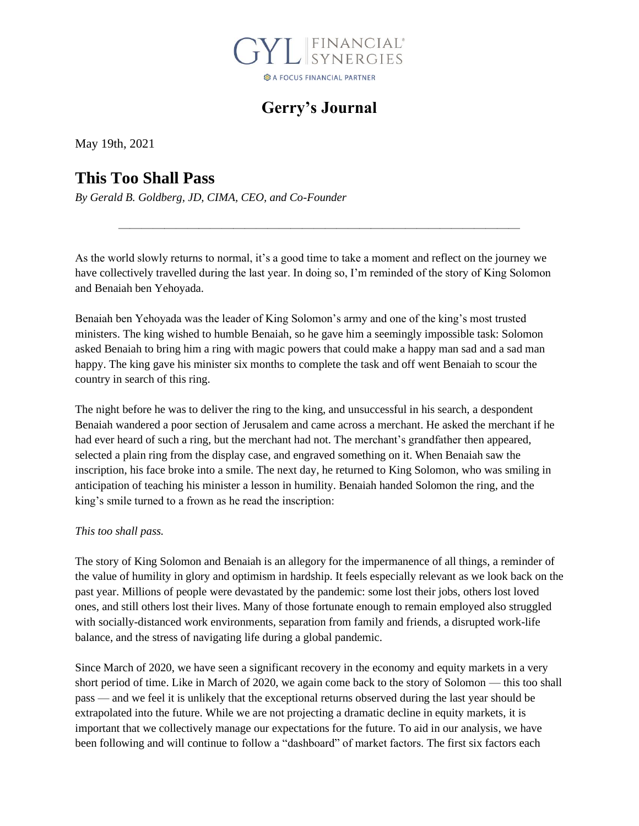

## **Gerry's Journal**

May 19th, 2021

## **This Too Shall Pass**

*By Gerald B. Goldberg, JD, CIMA, CEO, and Co-Founder*

As the world slowly returns to normal, it's a good time to take a moment and reflect on the journey we have collectively travelled during the last year. In doing so, I'm reminded of the story of King Solomon and Benaiah ben Yehoyada.

———————————————————————————————————

Benaiah ben Yehoyada was the leader of King Solomon's army and one of the king's most trusted ministers. The king wished to humble Benaiah, so he gave him a seemingly impossible task: Solomon asked Benaiah to bring him a ring with magic powers that could make a happy man sad and a sad man happy. The king gave his minister six months to complete the task and off went Benaiah to scour the country in search of this ring.

The night before he was to deliver the ring to the king, and unsuccessful in his search, a despondent Benaiah wandered a poor section of Jerusalem and came across a merchant. He asked the merchant if he had ever heard of such a ring, but the merchant had not. The merchant's grandfather then appeared, selected a plain ring from the display case, and engraved something on it. When Benaiah saw the inscription, his face broke into a smile. The next day, he returned to King Solomon, who was smiling in anticipation of teaching his minister a lesson in humility. Benaiah handed Solomon the ring, and the king's smile turned to a frown as he read the inscription:

#### *This too shall pass.*

The story of King Solomon and Benaiah is an allegory for the impermanence of all things, a reminder of the value of humility in glory and optimism in hardship. It feels especially relevant as we look back on the past year. Millions of people were devastated by the pandemic: some lost their jobs, others lost loved ones, and still others lost their lives. Many of those fortunate enough to remain employed also struggled with socially-distanced work environments, separation from family and friends, a disrupted work-life balance, and the stress of navigating life during a global pandemic.

Since March of 2020, we have seen a significant recovery in the economy and equity markets in a very short period of time. Like in March of 2020, we again come back to the story of Solomon — this too shall pass — and we feel it is unlikely that the exceptional returns observed during the last year should be extrapolated into the future. While we are not projecting a dramatic decline in equity markets, it is important that we collectively manage our expectations for the future. To aid in our analysis, we have been following and will continue to follow a "dashboard" of market factors. The first six factors each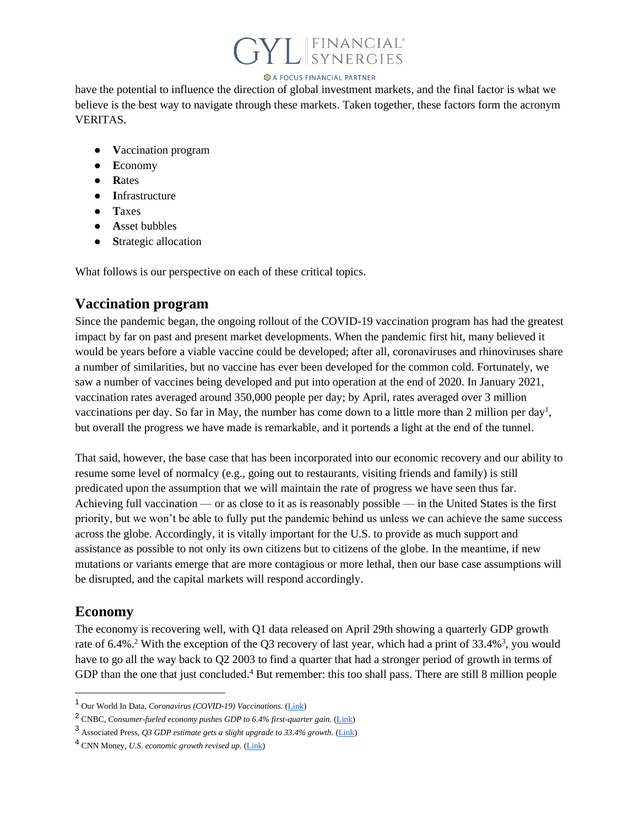## L FINANCIAL<sup>®</sup><br>SYNERGIES

#### **B** A FOCUS FINANCIAL PARTNER

have the potential to influence the direction of global investment markets, and the final factor is what we believe is the best way to navigate through these markets. Taken together, these factors form the acronym VERITAS.

- **V**accination program
- **E**conomy
- **R**ates
- **I**nfrastructure
- **T**axes
- **A**sset bubbles
- **S**trategic allocation

What follows is our perspective on each of these critical topics.

#### **Vaccination program**

Since the pandemic began, the ongoing rollout of the COVID-19 vaccination program has had the greatest impact by far on past and present market developments. When the pandemic first hit, many believed it would be years before a viable vaccine could be developed; after all, coronaviruses and rhinoviruses share a number of similarities, but no vaccine has ever been developed for the common cold. Fortunately, we saw a number of vaccines being developed and put into operation at the end of 2020. In January 2021, vaccination rates averaged around 350,000 people per day; by April, rates averaged over 3 million vaccinations per day. So far in May, the number has come down to a little more than 2 million per day<sup>1</sup>, but overall the progress we have made is remarkable, and it portends a light at the end of the tunnel.

That said, however, the base case that has been incorporated into our economic recovery and our ability to resume some level of normalcy (e.g., going out to restaurants, visiting friends and family) is still predicated upon the assumption that we will maintain the rate of progress we have seen thus far. Achieving full vaccination — or as close to it as is reasonably possible — in the United States is the first priority, but we won't be able to fully put the pandemic behind us unless we can achieve the same success across the globe. Accordingly, it is vitally important for the U.S. to provide as much support and assistance as possible to not only its own citizens but to citizens of the globe. In the meantime, if new mutations or variants emerge that are more contagious or more lethal, then our base case assumptions will be disrupted, and the capital markets will respond accordingly.

### **Economy**

The economy is recovering well, with Q1 data released on April 29th showing a quarterly GDP growth rate of 6.4%.<sup>2</sup> With the exception of the Q3 recovery of last year, which had a print of 33.4%<sup>3</sup>, you would have to go all the way back to Q2 2003 to find a quarter that had a stronger period of growth in terms of GDP than the one that just concluded.<sup>4</sup> But remember: this too shall pass. There are still 8 million people

<sup>1</sup> Our World In Data, *Coronavirus (COVID-19) Vaccinations.* [\(Link\)](https://ourworldindata.org/covid-vaccinations)

<sup>&</sup>lt;sup>2</sup> CNBC. *Consumer-fueled economy pushes GDP to 6.4% first-quarter gain.* (*Link*)

<sup>3</sup> Associated Press, *Q3 GDP estimate gets a slight upgrade to 33.4% growth.* [\(Link\)](https://apnews.com/article/business-united-states-coronavirus-pandemic-economy-ab92687e171305e3e6010d4daa32e1dd)

<sup>4</sup> CNN Money, *U.S. economic growth revised up.* [\(Link\)](https://money.cnn.com/2003/11/25/news/economy/gdp/index.htm)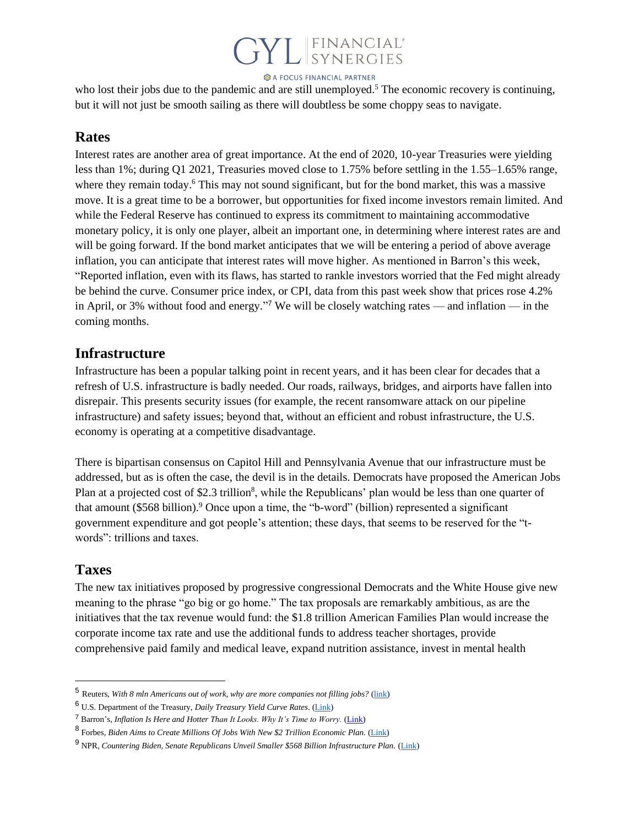# FINANCIAL<sup>®</sup><br>SYNERGIES

**B** A FOCUS FINANCIAL PARTNER

who lost their jobs due to the pandemic and are still unemployed.<sup>5</sup> The economic recovery is continuing, but it will not just be smooth sailing as there will doubtless be some choppy seas to navigate.

#### **Rates**

Interest rates are another area of great importance. At the end of 2020, 10-year Treasuries were yielding less than 1%; during Q1 2021, Treasuries moved close to 1.75% before settling in the 1.55–1.65% range, where they remain today.<sup>6</sup> This may not sound significant, but for the bond market, this was a massive move. It is a great time to be a borrower, but opportunities for fixed income investors remain limited. And while the Federal Reserve has continued to express its commitment to maintaining accommodative monetary policy, it is only one player, albeit an important one, in determining where interest rates are and will be going forward. If the bond market anticipates that we will be entering a period of above average inflation, you can anticipate that interest rates will move higher. As mentioned in Barron's this week, "Reported inflation, even with its flaws, has started to rankle investors worried that the Fed might already be behind the curve. Consumer price index, or CPI, data from this past week show that prices rose 4.2% in April, or 3% without food and energy." <sup>7</sup> We will be closely watching rates — and inflation — in the coming months.

#### **Infrastructure**

Infrastructure has been a popular talking point in recent years, and it has been clear for decades that a refresh of U.S. infrastructure is badly needed. Our roads, railways, bridges, and airports have fallen into disrepair. This presents security issues (for example, the recent ransomware attack on our pipeline infrastructure) and safety issues; beyond that, without an efficient and robust infrastructure, the U.S. economy is operating at a competitive disadvantage.

There is bipartisan consensus on Capitol Hill and Pennsylvania Avenue that our infrastructure must be addressed, but as is often the case, the devil is in the details. Democrats have proposed the American Jobs Plan at a projected cost of \$2.3 trillion<sup>8</sup>, while the Republicans' plan would be less than one quarter of that amount (\$568 billion).<sup>9</sup> Once upon a time, the "b-word" (billion) represented a significant government expenditure and got people's attention; these days, that seems to be reserved for the "twords": trillions and taxes.

### **Taxes**

The new tax initiatives proposed by progressive congressional Democrats and the White House give new meaning to the phrase "go big or go home." The tax proposals are remarkably ambitious, as are the initiatives that the tax revenue would fund: the \$1.8 trillion American Families Plan would increase the corporate income tax rate and use the additional funds to address teacher shortages, provide comprehensive paid family and medical leave, expand nutrition assistance, invest in mental health

<sup>5</sup> Reuters, *With 8 mln Americans out of work, why are more companies not filling jobs?* [\(link\)](https://www.reuters.com/business/whats-up-with-labor-market-probably-wont-know-until-fall-2021-05-06/)

<sup>6</sup> U.S. Department of the Treasury, *Daily Treasury Yield Curve Rates*. [\(Link\)](https://www.treasury.gov/resource-center/data-chart-center/interest-rates/pages/TextView.aspx?data=yieldYear&year=2020)

<sup>7</sup> Barron's, *Inflation Is Here and Hotter Than It Looks. Why It's Time to Worry.* [\(Link\)](https://www.barrons.com/articles/inflation-is-here-and-rising-51621025783)

<sup>8</sup> Forbes, *Biden Aims to Create Millions Of Jobs With New \$2 Trillion Economic Plan.* [\(Link\)](https://www.forbes.com/advisor/personal-finance/biden-american-jobs-plan/)

<sup>9</sup> NPR, *Countering Biden, Senate Republicans Unveil Smaller \$568 Billion Infrastructure Plan.* [\(Link\)](https://www.npr.org/2021/04/22/989841527/countering-biden-senate-republicans-unveil-smaller-568-billion-infrastructure-pl)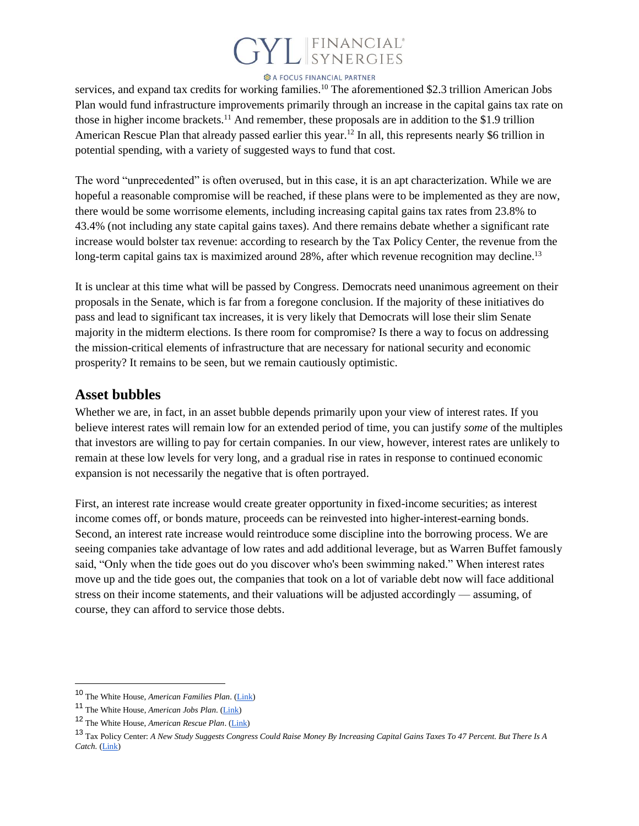# L FINANCIAL<sup>®</sup><br>SYNERGIES

#### **B** A FOCUS FINANCIAL PARTNER

services, and expand tax credits for working families.<sup>10</sup> The aforementioned \$2.3 trillion American Jobs Plan would fund infrastructure improvements primarily through an increase in the capital gains tax rate on those in higher income brackets.<sup>11</sup> And remember, these proposals are in addition to the \$1.9 trillion American Rescue Plan that already passed earlier this year.<sup>12</sup> In all, this represents nearly \$6 trillion in potential spending, with a variety of suggested ways to fund that cost.

The word "unprecedented" is often overused, but in this case, it is an apt characterization. While we are hopeful a reasonable compromise will be reached, if these plans were to be implemented as they are now, there would be some worrisome elements, including increasing capital gains tax rates from 23.8% to 43.4% (not including any state capital gains taxes). And there remains debate whether a significant rate increase would bolster tax revenue: according to research by the Tax Policy Center, the revenue from the long-term capital gains tax is maximized around 28%, after which revenue recognition may decline.<sup>13</sup>

It is unclear at this time what will be passed by Congress. Democrats need unanimous agreement on their proposals in the Senate, which is far from a foregone conclusion. If the majority of these initiatives do pass and lead to significant tax increases, it is very likely that Democrats will lose their slim Senate majority in the midterm elections. Is there room for compromise? Is there a way to focus on addressing the mission-critical elements of infrastructure that are necessary for national security and economic prosperity? It remains to be seen, but we remain cautiously optimistic.

#### **Asset bubbles**

Whether we are, in fact, in an asset bubble depends primarily upon your view of interest rates. If you believe interest rates will remain low for an extended period of time, you can justify *some* of the multiples that investors are willing to pay for certain companies. In our view, however, interest rates are unlikely to remain at these low levels for very long, and a gradual rise in rates in response to continued economic expansion is not necessarily the negative that is often portrayed.

First, an interest rate increase would create greater opportunity in fixed-income securities; as interest income comes off, or bonds mature, proceeds can be reinvested into higher-interest-earning bonds. Second, an interest rate increase would reintroduce some discipline into the borrowing process. We are seeing companies take advantage of low rates and add additional leverage, but as Warren Buffet famously said, "Only when the tide goes out do you discover who's been swimming naked." When interest rates move up and the tide goes out, the companies that took on a lot of variable debt now will face additional stress on their income statements, and their valuations will be adjusted accordingly — assuming, of course, they can afford to service those debts.

<sup>10</sup> The White House, *American Families Plan*. [\(Link\)](https://www.whitehouse.gov/american-families-plan/)

<sup>11</sup> The White House, *American Jobs Plan*. [\(Link\)](https://www.whitehouse.gov/american-jobs-plan/)

<sup>12</sup> The White House, *American Rescue Plan*. [\(Link\)](https://www.whitehouse.gov/american-rescue-plan/)

<sup>13</sup> Tax Policy Center: *A New Study Suggests Congress Could Raise Money By Increasing Capital Gains Taxes To 47 Percent. But There Is A Catch.* [\(Link\)](https://www.taxpolicycenter.org/taxvox/new-study-suggests-congress-could-raise-money-increasing-capital-gains-tax-rates-47-percent)